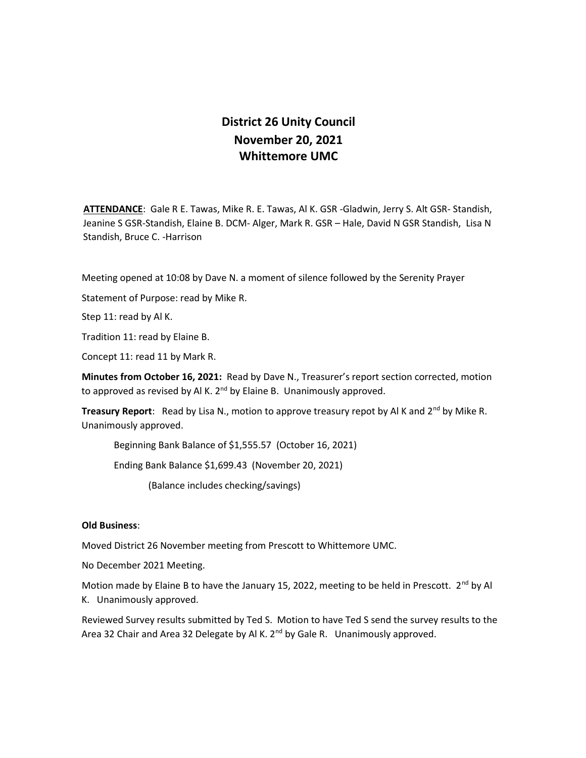## District 26 Unity Council November 20, 2021 Whittemore UMC

ATTENDANCE: Gale R E. Tawas, Mike R. E. Tawas, Al K. GSR -Gladwin, Jerry S. Alt GSR- Standish, Jeanine S GSR-Standish, Elaine B. DCM- Alger, Mark R. GSR – Hale, David N GSR Standish, Lisa N Standish, Bruce C. -Harrison

Meeting opened at 10:08 by Dave N. a moment of silence followed by the Serenity Prayer

Statement of Purpose: read by Mike R.

Step 11: read by Al K.

Tradition 11: read by Elaine B.

Concept 11: read 11 by Mark R.

Minutes from October 16, 2021: Read by Dave N., Treasurer's report section corrected, motion to approved as revised by Al K. 2<sup>nd</sup> by Elaine B. Unanimously approved.

**Treasury Report:** Read by Lisa N., motion to approve treasury repot by Al K and  $2^{nd}$  by Mike R. Unanimously approved.

Beginning Bank Balance of \$1,555.57 (October 16, 2021)

Ending Bank Balance \$1,699.43 (November 20, 2021)

(Balance includes checking/savings)

## Old Business:

Moved District 26 November meeting from Prescott to Whittemore UMC.

No December 2021 Meeting.

Motion made by Elaine B to have the January 15, 2022, meeting to be held in Prescott.  $2^{nd}$  by Al K. Unanimously approved.

Reviewed Survey results submitted by Ted S. Motion to have Ted S send the survey results to the Area 32 Chair and Area 32 Delegate by Al K. 2<sup>nd</sup> by Gale R. Unanimously approved.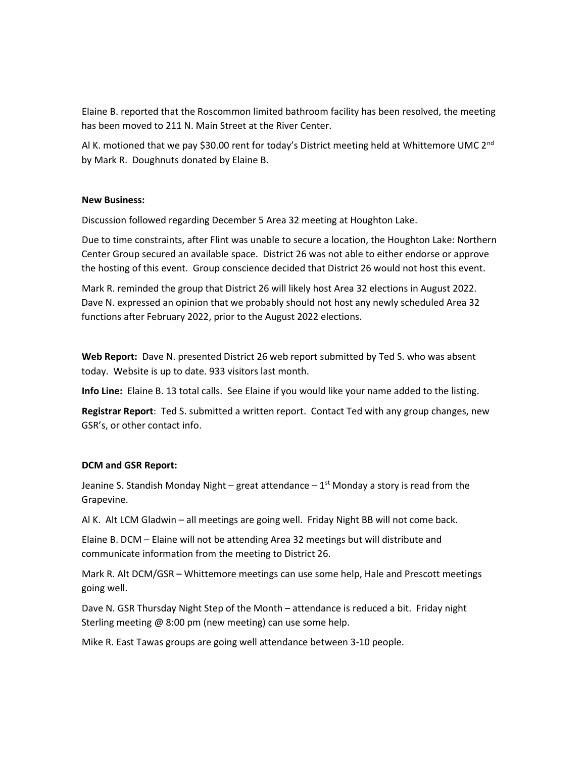Elaine B. reported that the Roscommon limited bathroom facility has been resolved, the meeting has been moved to 211 N. Main Street at the River Center.

Al K. motioned that we pay \$30.00 rent for today's District meeting held at Whittemore UMC 2<sup>nd</sup> by Mark R. Doughnuts donated by Elaine B.

## New Business:

Discussion followed regarding December 5 Area 32 meeting at Houghton Lake.

Due to time constraints, after Flint was unable to secure a location, the Houghton Lake: Northern Center Group secured an available space. District 26 was not able to either endorse or approve the hosting of this event. Group conscience decided that District 26 would not host this event.

Mark R. reminded the group that District 26 will likely host Area 32 elections in August 2022. Dave N. expressed an opinion that we probably should not host any newly scheduled Area 32 functions after February 2022, prior to the August 2022 elections.

Web Report: Dave N. presented District 26 web report submitted by Ted S. who was absent today. Website is up to date. 933 visitors last month.

Info Line: Elaine B. 13 total calls. See Elaine if you would like your name added to the listing.

Registrar Report: Ted S. submitted a written report. Contact Ted with any group changes, new GSR's, or other contact info.

## DCM and GSR Report:

Jeanine S. Standish Monday Night – great attendance –  $1<sup>st</sup>$  Monday a story is read from the Grapevine.

Al K. Alt LCM Gladwin – all meetings are going well. Friday Night BB will not come back.

Elaine B. DCM – Elaine will not be attending Area 32 meetings but will distribute and communicate information from the meeting to District 26.

Mark R. Alt DCM/GSR – Whittemore meetings can use some help, Hale and Prescott meetings going well.

Dave N. GSR Thursday Night Step of the Month – attendance is reduced a bit. Friday night Sterling meeting @ 8:00 pm (new meeting) can use some help.

Mike R. East Tawas groups are going well attendance between 3-10 people.